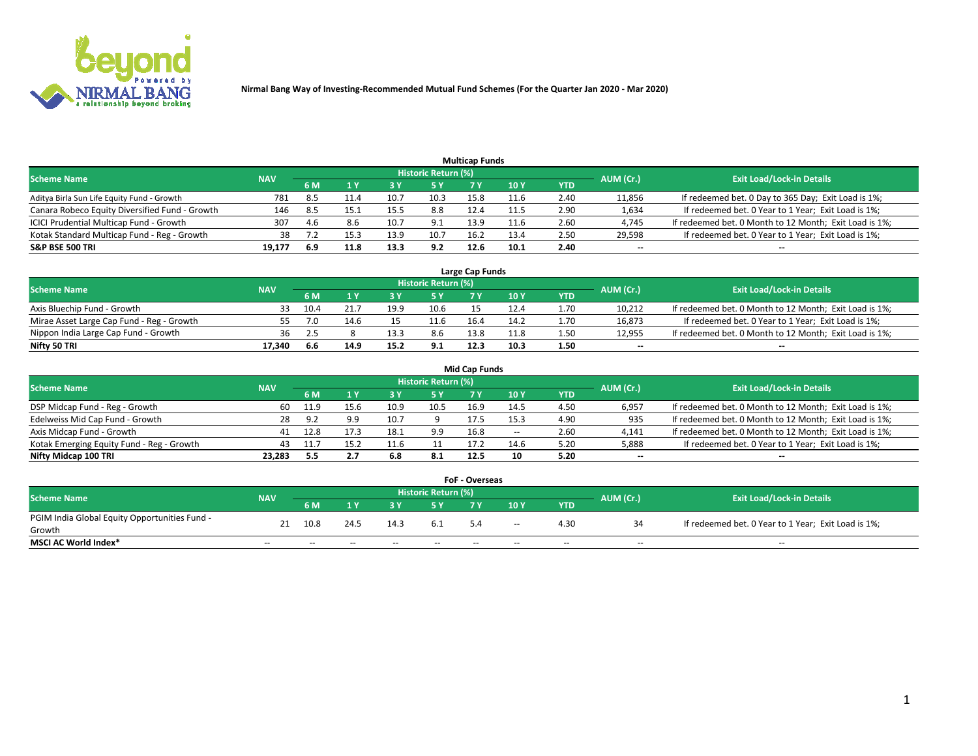

| <b>Multicap Funds</b>                          |            |      |      |      |                     |      |      |      |                          |                                                        |  |  |  |  |
|------------------------------------------------|------------|------|------|------|---------------------|------|------|------|--------------------------|--------------------------------------------------------|--|--|--|--|
| Scheme Name                                    | <b>NAV</b> |      |      |      | Historic Return (%) |      |      |      | AUM (Cr.)                | <b>Exit Load/Lock-in Details</b>                       |  |  |  |  |
|                                                |            | 6 M  |      |      | 5 Y                 |      | 10 ۱ | YTD  |                          |                                                        |  |  |  |  |
| Aditya Birla Sun Life Equity Fund - Growth     | 781        | 8.5  | 11.4 | 10.  | 10.3                | 15.8 | 11.6 | 2.40 | 11,856                   | If redeemed bet. 0 Day to 365 Day; Exit Load is 1%;    |  |  |  |  |
| Canara Robeco Equity Diversified Fund - Growth | 146        | -8.5 | 15.1 | 15.5 | 8.8                 | 12.4 | 11.5 | 2.90 | 1,634                    | If redeemed bet. 0 Year to 1 Year; Exit Load is 1%;    |  |  |  |  |
| ICICI Prudential Multicap Fund - Growth        | 307        | 4.6  | 8.6  | 10.7 | 9.1                 | 13.9 | 11.6 | 2.60 | 4,745                    | If redeemed bet. 0 Month to 12 Month; Exit Load is 1%; |  |  |  |  |
| Kotak Standard Multicap Fund - Reg - Growth    | 38         |      |      | 13.9 | 10.7                | 16.2 | 13.4 | 2.50 | 29,598                   | If redeemed bet. 0 Year to 1 Year; Exit Load is 1%;    |  |  |  |  |
| <b>S&amp;P BSE 500 TRI</b>                     | 19.177     | 6.9  | 11.8 | 13.3 | 9.2                 | 12.6 | 10.1 | 2.40 | $\overline{\phantom{a}}$ | $- -$                                                  |  |  |  |  |

| Large Cap Funds                           |            |           |                                  |      |      |      |      |      |        |                                                        |  |  |  |  |
|-------------------------------------------|------------|-----------|----------------------------------|------|------|------|------|------|--------|--------------------------------------------------------|--|--|--|--|
| Scheme Name                               | <b>NAV</b> | AUM (Cr.) | <b>Exit Load/Lock-in Details</b> |      |      |      |      |      |        |                                                        |  |  |  |  |
|                                           |            | 6 M       |                                  |      | 5 Y  |      | 10Y  | YTD  |        |                                                        |  |  |  |  |
| Axis Bluechip Fund - Growth               |            | 10.4      |                                  | 19.9 | 10.6 |      |      | 1.70 | 10,212 | If redeemed bet. 0 Month to 12 Month; Exit Load is 1%; |  |  |  |  |
| Mirae Asset Large Cap Fund - Reg - Growth |            | 7.0       | 14.6                             |      | 11.6 | 16.4 | 14.2 | 1.70 | 16,873 | If redeemed bet. 0 Year to 1 Year; Exit Load is 1%;    |  |  |  |  |
| Nippon India Large Cap Fund - Growth      | 36         |           |                                  | 13.3 | 8.6  | 13.8 | 11.8 | 1.50 | 12,955 | If redeemed bet. 0 Month to 12 Month; Exit Load is 1%; |  |  |  |  |
| Nifty 50 TRI                              | 17.340     | -6.6      | 14.9                             | 15.2 | 9.1  | 12.3 | 10.3 | 1.50 | $\sim$ | $-$                                                    |  |  |  |  |

|                                           |            |      |      |      |                     | <b>Mid Cap Funds</b> |        |            |           |                                                        |
|-------------------------------------------|------------|------|------|------|---------------------|----------------------|--------|------------|-----------|--------------------------------------------------------|
| <b>Scheme Name</b>                        | <b>NAV</b> |      |      |      | Historic Return (%) |                      |        |            | AUM (Cr.) | <b>Exit Load/Lock-in Details</b>                       |
|                                           |            | 6 M  |      |      |                     |                      | 10Y    | <b>YTD</b> |           |                                                        |
| DSP Midcap Fund - Reg - Growth            | 60         | 11.9 |      | 10.9 | 10.5                | 16.9                 | 14.5   | 4.50       | 6,957     | If redeemed bet. 0 Month to 12 Month; Exit Load is 1%; |
| Edelweiss Mid Cap Fund - Growth           | 28         | 9.2  | 9.9  | 10.7 |                     | 17.5                 | 15.3   | 4.90       | 935       | If redeemed bet. 0 Month to 12 Month; Exit Load is 1%; |
| Axis Midcap Fund - Growth                 | 41         | 12.8 |      | 18.1 | 9.9                 | 16.8                 | $\sim$ | 2.60       | 4,141     | If redeemed bet. 0 Month to 12 Month; Exit Load is 1%; |
| Kotak Emerging Equity Fund - Reg - Growth | 43         | 11.7 | 15.2 | 11.6 |                     | 17.2                 | 14.6   | 5.20       | 5,888     | If redeemed bet. 0 Year to 1 Year; Exit Load is 1%;    |
| Nifty Midcap 100 TRI                      | 23.283     | -5.5 | 2.7  | 6.8  | -8.1                | 12.5                 | 10     | 5.20       | $\sim$    |                                                        |

| <b>FoF - Overseas</b>                         |            |       |       |       |                            |     |               |            |           |                                                     |  |  |  |  |
|-----------------------------------------------|------------|-------|-------|-------|----------------------------|-----|---------------|------------|-----------|-----------------------------------------------------|--|--|--|--|
| <b>Scheme Name</b>                            | <b>NAV</b> |       |       |       | <b>Historic Return (%)</b> |     |               |            | AUM (Cr.) | <b>Exit Load/Lock-in Details</b>                    |  |  |  |  |
|                                               |            | 6 M   |       |       |                            |     | 10Y           | <b>YTD</b> |           |                                                     |  |  |  |  |
| PGIM India Global Equity Opportunities Fund - | 21         | 10.8  | 24.5  | 14.3  | 6.1                        | 5.4 | $\sim$ $\sim$ | 4.30       |           | If redeemed bet. 0 Year to 1 Year; Exit Load is 1%; |  |  |  |  |
| Growth                                        |            |       |       |       |                            |     |               |            |           |                                                     |  |  |  |  |
| <b>MSCI AC World Index*</b>                   | $- -$      | $- -$ | $- -$ | $- -$ | $- -$                      | --  | $- -$         | $- -$      | $- -$     | $- -$                                               |  |  |  |  |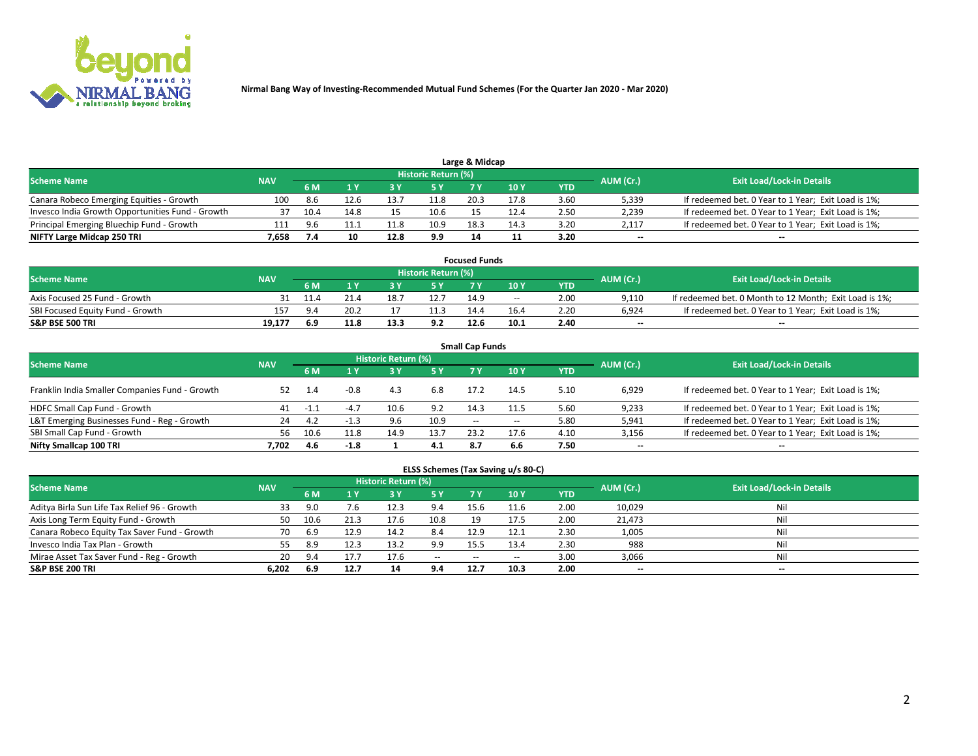

| Large & Midcap                                   |            |      |      |      |                     |      |      |      |                          |                                                     |  |  |  |  |
|--------------------------------------------------|------------|------|------|------|---------------------|------|------|------|--------------------------|-----------------------------------------------------|--|--|--|--|
| <b>Scheme Name</b>                               | <b>NAV</b> |      |      |      | Historic Return (%) |      |      |      | AUM (Cr.)                | <b>Exit Load/Lock-in Details</b>                    |  |  |  |  |
|                                                  |            | 6 M  |      |      | 5 Y                 |      | 10Y  | YTD. |                          |                                                     |  |  |  |  |
| Canara Robeco Emerging Equities - Growth         | 100        | -8.6 | 12.6 | 13.7 | 11.8                | 20.3 |      | 3.60 | 5,339                    | If redeemed bet. 0 Year to 1 Year; Exit Load is 1%; |  |  |  |  |
| Invesco India Growth Opportunities Fund - Growth |            | 10.4 |      |      | 10.6                |      | 12.4 | 2.50 | 2,239                    | If redeemed bet. 0 Year to 1 Year; Exit Load is 1%; |  |  |  |  |
| Principal Emerging Bluechip Fund - Growth        | 111        | 9.6  |      | 11.8 | 10.9                | 18.3 | 14.3 | 3.20 | 2.117                    | If redeemed bet. 0 Year to 1 Year; Exit Load is 1%; |  |  |  |  |
| NIFTY Large Midcap 250 TRI                       | 7.658      |      | 10   | 12.8 | 9.9                 |      |      | 3.20 | $\overline{\phantom{a}}$ | $- -$                                               |  |  |  |  |

| <b>Focused Funds</b>             |            |             |      |      |                     |      |       |      |           |                                                        |  |  |  |
|----------------------------------|------------|-------------|------|------|---------------------|------|-------|------|-----------|--------------------------------------------------------|--|--|--|
| <b>Scheme Name</b>               | <b>NAV</b> |             |      |      | Historic Return (%) |      |       |      |           | <b>Exit Load/Lock-in Details</b>                       |  |  |  |
|                                  |            | <b>6 M</b>  |      |      |                     |      | 10 Y  | YTD  | AUM (Cr.) |                                                        |  |  |  |
| Axis Focused 25 Fund - Growth    |            |             |      | 18.1 | 12.7                | 14.9 | $- -$ | 2.00 | 9.110     | If redeemed bet. 0 Month to 12 Month; Exit Load is 1%; |  |  |  |
| SBI Focused Equity Fund - Growth | 157        | $Q \Lambda$ | 20.2 |      |                     | 14.4 | 16.4  | 2.20 | 6.924     | If redeemed bet. 0 Year to 1 Year; Exit Load is 1%;    |  |  |  |
| <b>S&amp;P BSE 500 TRI</b>       | 19.177     | 6.9         | 11.8 | 13.3 | 9.2                 | 12.6 | 10.1  | 2.40 | $\sim$    | $- -$                                                  |  |  |  |

| <b>Small Cap Funds</b>                         |            |      |        |                     |      |        |        |      |           |                                                     |  |  |  |  |
|------------------------------------------------|------------|------|--------|---------------------|------|--------|--------|------|-----------|-----------------------------------------------------|--|--|--|--|
| <b>Scheme Name</b>                             | <b>NAV</b> |      |        | Historic Return (%) |      |        |        |      | AUM (Cr.) | <b>Exit Load/Lock-in Details</b>                    |  |  |  |  |
|                                                |            | 6 M  |        | 3Y                  | 5 Y  | 7 Y    | 10Y    | YTD  |           |                                                     |  |  |  |  |
| Franklin India Smaller Companies Fund - Growth | 52         |      | $-0.8$ | 4.3                 | 6.8  | 17.2   | 14.5   | 5.10 | 6,929     | If redeemed bet. 0 Year to 1 Year; Exit Load is 1%; |  |  |  |  |
| HDFC Small Cap Fund - Growth                   | 41         | -1.1 | $-4.7$ |                     | 9.2  | 14.3   | 11.5   | 5.60 | 9,233     | If redeemed bet. 0 Year to 1 Year; Exit Load is 1%; |  |  |  |  |
| L&T Emerging Businesses Fund - Reg - Growth    | 24         | -4.2 | $-1.3$ | 9.6                 | 10.9 | $\sim$ | $\sim$ | 5.80 | 5,941     | If redeemed bet. 0 Year to 1 Year; Exit Load is 1%; |  |  |  |  |
| SBI Small Cap Fund - Growth                    | 56         | 10.6 | 11.8   | 14.9                | 13.7 | 23.2   | 17.6   | 4.10 | 3,156     | If redeemed bet. 0 Year to 1 Year; Exit Load is 1%; |  |  |  |  |
| Nifty Smallcap 100 TRI                         | 7.702      | 4.6  | $-1.8$ |                     | 4.1  | 8.7    | 6.6    | 7.50 | $\sim$    | $- -$                                               |  |  |  |  |

## **ELSS Schemes (Tax Saving u/s 80-C)**

| <b>Scheme Name</b>                           | <b>NAV</b> |      |      | <b>Historic Return (%)</b> |           |            |      | AUM (Cr.) | <b>Exit Load/Lock-in Details</b> |       |
|----------------------------------------------|------------|------|------|----------------------------|-----------|------------|------|-----------|----------------------------------|-------|
|                                              |            | 6 M  | 1 Y  | 3 Y                        | <b>5Y</b> | <b>7 Y</b> | 10Y  | YTD       |                                  |       |
| Aditya Birla Sun Life Tax Relief 96 - Growth | 33         |      |      | 12.3                       | 9.4       | 15.6       | 11.6 | 2.00      | 10,029                           | Nil   |
| Axis Long Term Equity Fund - Growth          | 50         | 10.6 |      | 17.6                       | 10.8      | 19         | 17.5 | 2.00      | 21,473                           | Nil   |
| Canara Robeco Equity Tax Saver Fund - Growth | 70         | -6.9 | 12.9 | 14.2                       | 8.4       | 12.9       | 12.1 | 2.30      | 1,005                            | Nil   |
| Invesco India Tax Plan - Growth              | 55         | 8.9  | 12.3 | 13.2                       | 9.9       | 15.5       | 13.4 | 2.30      | 988                              | Nil   |
| Mirae Asset Tax Saver Fund - Reg - Growth    | 20         |      |      | 17.6                       | $-$       | $-$        |      | 3.00      | 3,066                            | Nil   |
| <b>S&amp;P BSE 200 TRI</b>                   | 6,202      | 6.9  | 12.7 | 14                         | 9.4       | 12.7       | 10.3 | 2.00      | $\sim$                           | $- -$ |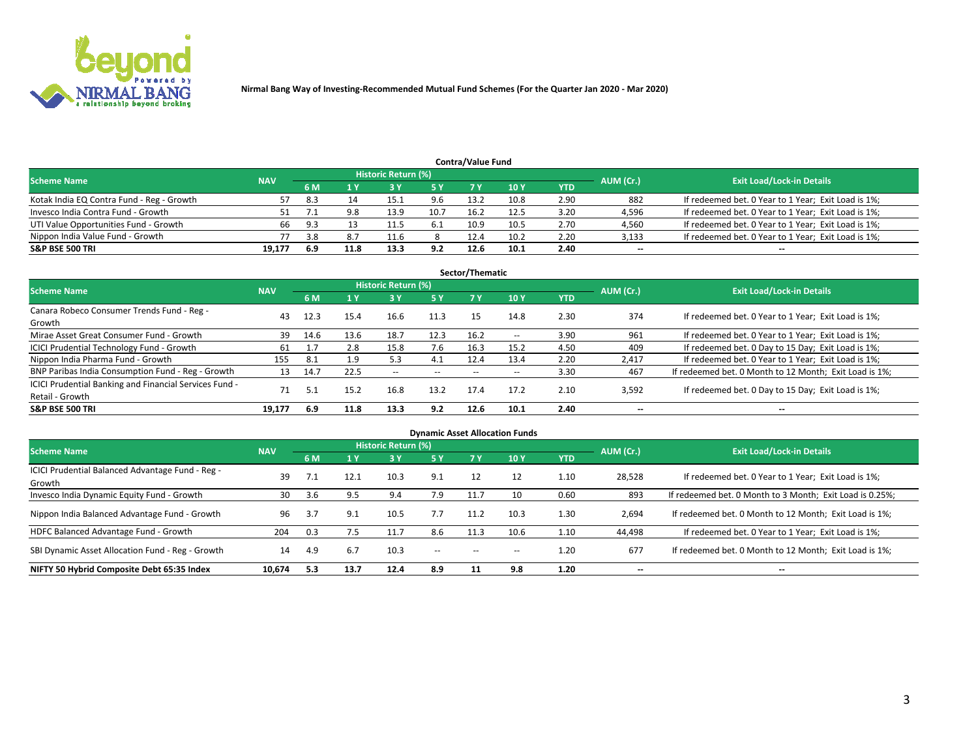

| <b>Contra/Value Fund</b>                  |            |      |      |                     |      |      |      |      |           |                                                     |  |  |  |  |
|-------------------------------------------|------------|------|------|---------------------|------|------|------|------|-----------|-----------------------------------------------------|--|--|--|--|
| <b>Scheme Name</b>                        | <b>NAV</b> |      |      | Historic Return (%) |      |      |      |      | AUM (Cr.) | <b>Exit Load/Lock-in Details</b>                    |  |  |  |  |
|                                           |            | 6 M  |      |                     | 5 Y  | 7 Y  | 10Y  | YTD  |           |                                                     |  |  |  |  |
| Kotak India EQ Contra Fund - Reg - Growth |            | -8.3 |      | 15.1                | 9.6  | 13.2 | 10.8 | 2.90 | 882       | If redeemed bet. 0 Year to 1 Year; Exit Load is 1%; |  |  |  |  |
| Invesco India Contra Fund - Growth        |            |      | 9.8  | 13.9                | 10.7 | 16.2 | 12.5 | 3.20 | 4,596     | If redeemed bet. 0 Year to 1 Year; Exit Load is 1%; |  |  |  |  |
| UTI Value Opportunities Fund - Growth     | 66         | 9.3  |      | 11.5                | 6.1  | 10.9 | 10.5 | 2.70 | 4,560     | If redeemed bet. 0 Year to 1 Year; Exit Load is 1%; |  |  |  |  |
| Nippon India Value Fund - Growth          |            | 3.8  |      |                     |      | 12.4 | 10.2 | 2.20 | 3,133     | If redeemed bet. 0 Year to 1 Year; Exit Load is 1%; |  |  |  |  |
| <b>S&amp;P BSE 500 TRI</b>                | 19.177     | 6.9  | 11.8 | 13.3                | 9.2  | 12.6 | 10.1 | 2.40 | $\sim$    | $- -$                                               |  |  |  |  |

| Sector/Thematic                                                           |            |      |      |                     |           |       |                          |            |                          |                                                        |  |  |  |  |
|---------------------------------------------------------------------------|------------|------|------|---------------------|-----------|-------|--------------------------|------------|--------------------------|--------------------------------------------------------|--|--|--|--|
| <b>Scheme Name</b>                                                        | <b>NAV</b> |      |      | Historic Return (%) |           |       |                          |            | AUM (Cr.)                | <b>Exit Load/Lock-in Details</b>                       |  |  |  |  |
|                                                                           |            | 6 M  | 1 Y  | 73 Y                | <b>5Y</b> | 7 Y   | 10Y                      | <b>YTD</b> |                          |                                                        |  |  |  |  |
| Canara Robeco Consumer Trends Fund - Reg -<br>Growth                      | 43         | 12.3 | 15.4 | 16.6                | 11.3      | 15    | 14.8                     | 2.30       | 374                      | If redeemed bet. 0 Year to 1 Year; Exit Load is 1%;    |  |  |  |  |
| Mirae Asset Great Consumer Fund - Growth                                  | 39         | 14.6 | 13.6 | 18.7                | 12.3      | 16.2  | $\overline{\phantom{a}}$ | 3.90       | 961                      | If redeemed bet. 0 Year to 1 Year; Exit Load is 1%;    |  |  |  |  |
| ICICI Prudential Technology Fund - Growth                                 | 61         |      | 2.8  | 15.8                | 7.6       | 16.3  | 15.2                     | 4.50       | 409                      | If redeemed bet. 0 Day to 15 Day; Exit Load is 1%;     |  |  |  |  |
| Nippon India Pharma Fund - Growth                                         | 155        | 8.1  | 1.9  | 5.3                 | 4.1       | 12.4  | 13.4                     | 2.20       | 2,417                    | If redeemed bet. 0 Year to 1 Year; Exit Load is 1%;    |  |  |  |  |
| BNP Paribas India Consumption Fund - Reg - Growth                         | 13         | 14.7 | 22.5 | $- -$               | $- -$     | $- -$ | $- -$                    | 3.30       | 467                      | If redeemed bet. 0 Month to 12 Month; Exit Load is 1%; |  |  |  |  |
| ICICI Prudential Banking and Financial Services Fund -<br>Retail - Growth | 71         | 5.1  | 15.2 | 16.8                | 13.2      | 17.4  | 17.2                     | 2.10       | 3,592                    | If redeemed bet. 0 Day to 15 Day; Exit Load is 1%;     |  |  |  |  |
| <b>S&amp;P BSE 500 TRI</b>                                                | 19.177     | 6.9  | 11.8 | 13.3                | 9.2       | 12.6  | 10.1                     | 2.40       | $\overline{\phantom{a}}$ | $\overline{\phantom{a}}$                               |  |  |  |  |

| <b>Dynamic Asset Allocation Funds</b>                      |            |     |      |                     |        |       |       |            |           |                                                          |  |  |  |  |
|------------------------------------------------------------|------------|-----|------|---------------------|--------|-------|-------|------------|-----------|----------------------------------------------------------|--|--|--|--|
| <b>Scheme Name</b>                                         | <b>NAV</b> |     |      | Historic Return (%) |        |       |       |            | AUM (Cr.) | <b>Exit Load/Lock-in Details</b>                         |  |  |  |  |
|                                                            |            | 6 M | 1 Y  | 73 Y                | 5 Y    |       | 10Y   | <b>YTD</b> |           |                                                          |  |  |  |  |
| ICICI Prudential Balanced Advantage Fund - Reg -<br>Growth | 39         |     | 12.1 | 10.3                | 9.1    | 12    | 12    | 1.10       | 28,528    | If redeemed bet. 0 Year to 1 Year; Exit Load is 1%;      |  |  |  |  |
| Invesco India Dynamic Equity Fund - Growth                 | 30         | 3.6 | 9.5  | 9.4                 | 7.9    | 11.7  | 10    | 0.60       | 893       | If redeemed bet. 0 Month to 3 Month; Exit Load is 0.25%; |  |  |  |  |
| Nippon India Balanced Advantage Fund - Growth              | 96         | 3.7 | 9.1  | 10.5                | 7.7    | 11.2  | 10.3  | 1.30       | 2,694     | If redeemed bet. 0 Month to 12 Month; Exit Load is 1%;   |  |  |  |  |
| HDFC Balanced Advantage Fund - Growth                      | 204        | 0.3 | 7.5  | 11.7                | 8.6    | 11.3  | 10.6  | 1.10       | 44,498    | If redeemed bet. 0 Year to 1 Year; Exit Load is 1%;      |  |  |  |  |
| SBI Dynamic Asset Allocation Fund - Reg - Growth           | 14         | 4.9 | 6.7  | 10.3                | $\sim$ | $- -$ | $- -$ | 1.20       | 677       | If redeemed bet. 0 Month to 12 Month; Exit Load is 1%;   |  |  |  |  |
| NIFTY 50 Hybrid Composite Debt 65:35 Index                 | 10,674     | 5.3 | 13.7 | 12.4                | 8.9    | 11    | 9.8   | 1.20       | --        | --                                                       |  |  |  |  |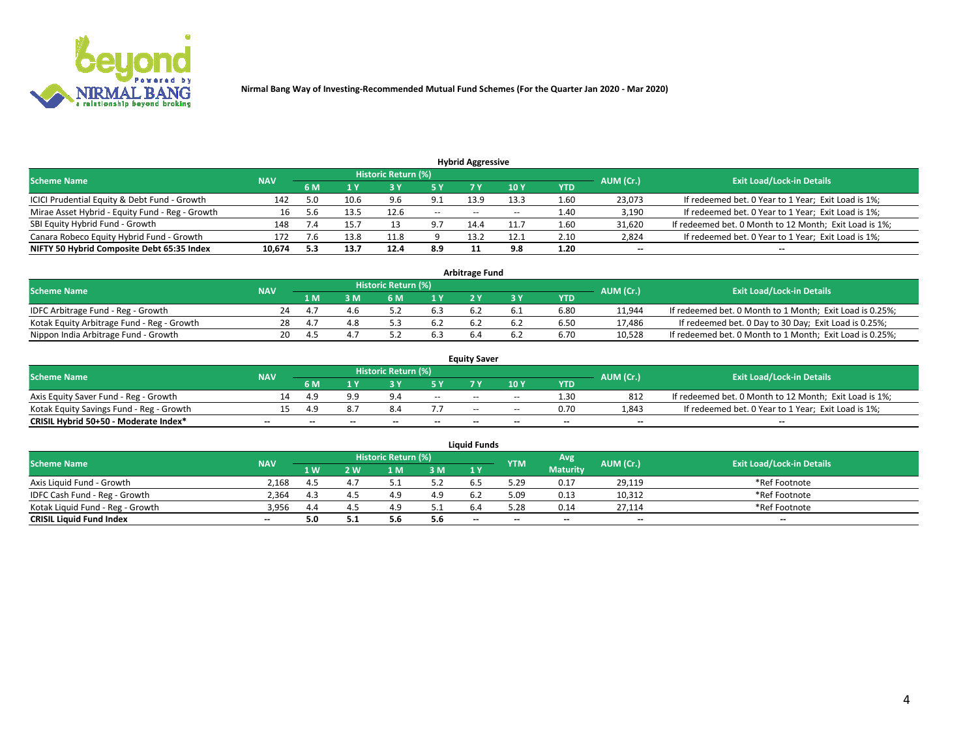

| <b>Hybrid Aggressive</b>                                                                                        |        |     |      |      |          |                          |       |      |                          |                                                        |  |  |  |  |
|-----------------------------------------------------------------------------------------------------------------|--------|-----|------|------|----------|--------------------------|-------|------|--------------------------|--------------------------------------------------------|--|--|--|--|
| <b>Historic Return (%)</b><br><b>Exit Load/Lock-in Details</b><br>AUM (Cr.)<br><b>Scheme Name</b><br><b>NAV</b> |        |     |      |      |          |                          |       |      |                          |                                                        |  |  |  |  |
|                                                                                                                 |        | 6 M |      |      |          |                          | 10Y   | YTD  |                          |                                                        |  |  |  |  |
| ICICI Prudential Equity & Debt Fund - Growth                                                                    | 142    |     | 10.6 | 9.6  | 9.1      | 13.9                     | 13.3  | 1.60 | 23,073                   | If redeemed bet. 0 Year to 1 Year; Exit Load is 1%;    |  |  |  |  |
| Mirae Asset Hybrid - Equity Fund - Reg - Growth                                                                 | 16     |     | 13.5 | 12.6 | $\sim$   | $\overline{\phantom{m}}$ | $- -$ | 1.40 | 3,190                    | If redeemed bet. 0 Year to 1 Year; Exit Load is 1%;    |  |  |  |  |
| SBI Equity Hybrid Fund - Growth                                                                                 | 148    |     | .5.7 |      | <b>۰</b> | 14.4                     | 11.7  | 1.60 | 31,620                   | If redeemed bet. 0 Month to 12 Month; Exit Load is 1%; |  |  |  |  |
| Canara Robeco Equity Hybrid Fund - Growth                                                                       | 172    |     | 13.8 | 11.8 |          | 13.2                     | 12.1  | 2.10 | 2,824                    | If redeemed bet. 0 Year to 1 Year; Exit Load is 1%;    |  |  |  |  |
| NIFTY 50 Hybrid Composite Debt 65:35 Index                                                                      | 10,674 | 5.3 | 13.7 | 12.4 | 8.9      |                          | 9.8   | 1.20 | $\overline{\phantom{a}}$ | $- -$                                                  |  |  |  |  |

|                                            |            |           |                                  |     |     | <b>Arbitrage Fund</b> |      |        |                                                          |
|--------------------------------------------|------------|-----------|----------------------------------|-----|-----|-----------------------|------|--------|----------------------------------------------------------|
| Scheme Name                                | <b>NAV</b> | AUM (Cr.) | <b>Exit Load/Lock-in Details</b> |     |     |                       |      |        |                                                          |
|                                            |            | 1 M       | ያ M                              | 6 M |     |                       | YTD  |        |                                                          |
| IDFC Arbitrage Fund - Reg - Growth         | 24         |           |                                  |     | 6.3 |                       | 6.80 | 11,944 | If redeemed bet. 0 Month to 1 Month; Exit Load is 0.25%; |
| Kotak Equity Arbitrage Fund - Reg - Growth | 28         |           |                                  |     | 6.2 |                       | 6.50 | 17,486 | If redeemed bet. 0 Day to 30 Day; Exit Load is 0.25%;    |
| Nippon India Arbitrage Fund - Growth       | 20         |           |                                  |     | 6.3 |                       | 6.70 | 10.528 | If redeemed bet. 0 Month to 1 Month; Exit Load is 0.25%; |

|                                          |            |           |                                  |                 |                          | <b>Equity Saver</b>      |       |            |        |                                                        |
|------------------------------------------|------------|-----------|----------------------------------|-----------------|--------------------------|--------------------------|-------|------------|--------|--------------------------------------------------------|
| Scheme Name                              | <b>NAV</b> | AUM (Cr.) | <b>Exit Load/Lock-in Details</b> |                 |                          |                          |       |            |        |                                                        |
|                                          |            | 6 M       |                                  |                 | 5 V                      |                          | 10Y   | <b>YTD</b> |        |                                                        |
| Axis Equity Saver Fund - Reg - Growth    |            |           | QQ                               | a.              | $\sim$                   | $- -$                    | $- -$ | 1.30       | 812    | If redeemed bet. 0 Month to 12 Month; Exit Load is 1%; |
| Kotak Equity Savings Fund - Reg - Growth |            |           |                                  |                 |                          | $\overline{\phantom{a}}$ | --    | 0.70       | 1,843  | If redeemed bet. 0 Year to 1 Year; Exit Load is 1%;    |
| CRISIL Hybrid 50+50 - Moderate Index*    | $- -$      |           | $\overline{\phantom{a}}$         | $\qquad \qquad$ | $\overline{\phantom{a}}$ | $\sim$                   | --    | $- -$      | $\sim$ | $- -$                                                  |

| <b>Liquid Funds</b>              |            |      |     |                            |       |                                                |            |                 |                          |                                  |  |  |  |  |
|----------------------------------|------------|------|-----|----------------------------|-------|------------------------------------------------|------------|-----------------|--------------------------|----------------------------------|--|--|--|--|
| Scheme Name                      | <b>NAV</b> |      |     | <b>Historic Return (%)</b> |       |                                                | <b>YTM</b> | Avg             | AUM (Cr.)                | <b>Exit Load/Lock-in Details</b> |  |  |  |  |
|                                  |            | 1 W. | ว พ | 1 M                        | 3M    | 1 <sup>Y</sup>                                 |            | <b>Maturity</b> |                          |                                  |  |  |  |  |
| Axis Liquid Fund - Growth        | 2.168      | 4.5  |     |                            | 5.2   |                                                | 29.د       | 0.17            | 29,119                   | *Ref Footnote                    |  |  |  |  |
| IDFC Cash Fund - Reg - Growth    | 2.364      | 4.3  |     |                            | 4.9   |                                                | 5.09       | 0.13            | 10,312                   | *Ref Footnote                    |  |  |  |  |
| Kotak Liquid Fund - Reg - Growth | 3,956      | 4.4  |     | 4.9                        | ے . ب |                                                | .28        | 0.14            | 27,114                   | *Ref Footnote                    |  |  |  |  |
| <b>CRISIL Liquid Fund Index</b>  | $\sim$     | 5.0  |     | 5.t                        | 5.6   | $\hspace{0.1mm}-\hspace{0.1mm}-\hspace{0.1mm}$ | --         | $\sim$          | $\overline{\phantom{a}}$ | $\sim$                           |  |  |  |  |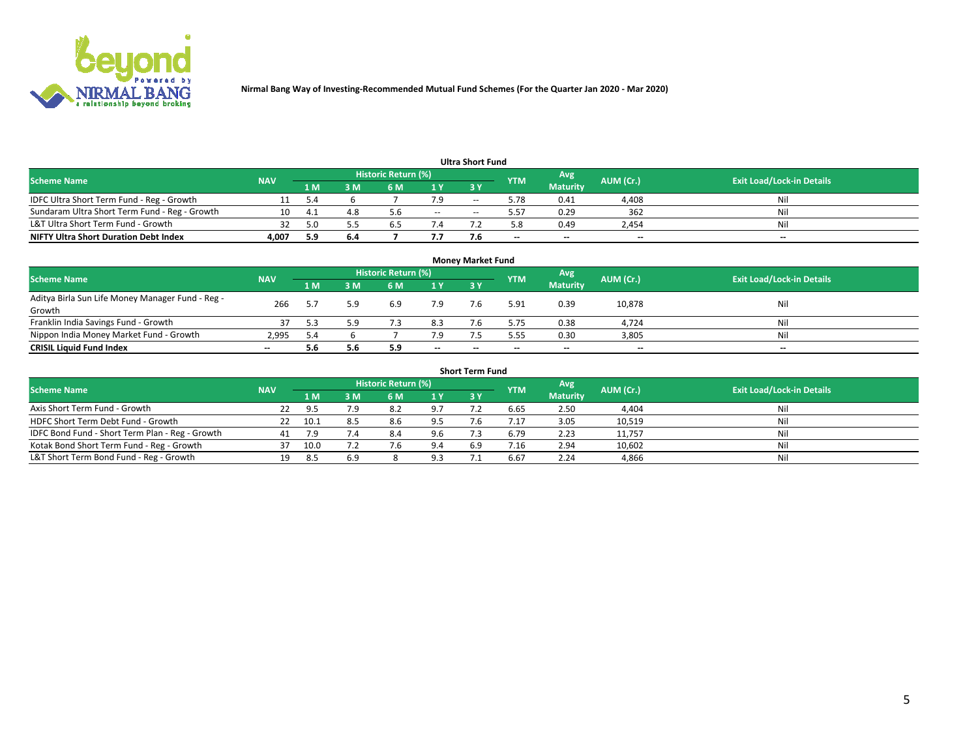

|                                               |            |          |     |                     |               | <b>Ultra Short Fund</b> |            |                 |           |                                  |
|-----------------------------------------------|------------|----------|-----|---------------------|---------------|-------------------------|------------|-----------------|-----------|----------------------------------|
| <b>Scheme Name</b>                            | <b>NAV</b> |          |     | Historic Return (%) |               |                         | <b>YTM</b> | Avg             | AUM (Cr.) | <b>Exit Load/Lock-in Details</b> |
|                                               |            | 1 M'     | 3 M | 6 M                 | 1 Y           | 3 Y                     |            | <b>Maturity</b> |           |                                  |
| IDFC Ultra Short Term Fund - Reg - Growth     |            |          |     |                     |               | $-$                     | 5.78       | 0.41            | 4,408     | Nil                              |
| Sundaram Ultra Short Term Fund - Reg - Growth |            | $\Delta$ | 4.8 | 5.6                 | $\sim$ $\sim$ | --                      | 5.57       | 0.29            | 362       | Nil                              |
| L&T Ultra Short Term Fund - Growth            |            |          |     |                     |               |                         |            | 0.49            | 2,454     | Nil                              |
| <b>NIFTY Ultra Short Duration Debt Index</b>  | 4,007      | 5.9      | 6.4 |                     | 7.7           |                         | --         | $-$             | $- -$     | $- -$                            |

| <b>Money Market Fund</b>                         |            |      |     |                     |        |     |            |                 |           |                                  |  |  |  |
|--------------------------------------------------|------------|------|-----|---------------------|--------|-----|------------|-----------------|-----------|----------------------------------|--|--|--|
| <b>Scheme Name</b>                               | <b>NAV</b> |      |     | Historic Return (%) |        |     | <b>YTM</b> | 'Avg            | AUM (Cr.) | <b>Exit Load/Lock-in Details</b> |  |  |  |
|                                                  |            | 1 M  | 3 M | 6 M                 | 1 Y    | 3Y  |            | <b>Maturity</b> |           |                                  |  |  |  |
| Aditya Birla Sun Life Money Manager Fund - Reg - | 266        |      | 5.9 | 6.9                 | 7.9    | 7.6 | 5.91       | 0.39            | 10,878    | Nil                              |  |  |  |
| Growth                                           |            |      |     |                     |        |     |            |                 |           |                                  |  |  |  |
| Franklin India Savings Fund - Growth             |            |      | 5.9 |                     | 8.3    |     | 5.75       | 0.38            | 4,724     | Nil                              |  |  |  |
| Nippon India Money Market Fund - Growth          | 2.995      | -5.4 |     |                     | 7.9    |     | 5.55       | 0.30            | 3,805     | Nil                              |  |  |  |
| <b>CRISIL Liquid Fund Index</b>                  | $- -$      | 5.6  | 5.6 | 5.9                 | $\sim$ | --  | --         | $\sim$          | $\sim$    | $\sim$                           |  |  |  |

| <b>Short Term Fund</b>                          |            |      |     |                     |     |            |            |                 |           |                                  |  |  |  |  |
|-------------------------------------------------|------------|------|-----|---------------------|-----|------------|------------|-----------------|-----------|----------------------------------|--|--|--|--|
| <b>Scheme Name</b>                              | <b>NAV</b> |      |     | Historic Return (%) |     |            | <b>YTM</b> | Avg             | AUM (Cr.) | <b>Exit Load/Lock-in Details</b> |  |  |  |  |
|                                                 |            | 1 M  | 3 M | 6 M                 | 1 Y | <b>3 Y</b> |            | <b>Maturity</b> |           |                                  |  |  |  |  |
| Axis Short Term Fund - Growth                   |            | 95   | 7.9 | 8.2                 | 9.7 |            | 6.65       | 2.50            | 4,404     | Nil                              |  |  |  |  |
| HDFC Short Term Debt Fund - Growth              |            | 10.1 |     | 8.6                 | 9.5 |            |            | 3.05            | 10,519    | Nil                              |  |  |  |  |
| IDFC Bond Fund - Short Term Plan - Reg - Growth | 41         |      | 7.4 | 8.4                 | 9.6 |            | 6.79       | 2.23            | 11,757    | Nil                              |  |  |  |  |
| Kotak Bond Short Term Fund - Reg - Growth       |            | 10.0 |     |                     | 9.4 | 6.9        |            | 2.94            | 10,602    | Nil                              |  |  |  |  |
| L&T Short Term Bond Fund - Reg - Growth         | 19.        | -8.5 | 6.9 |                     | 9.3 |            | 6.67       | 2.24            | 4,866     | Nil                              |  |  |  |  |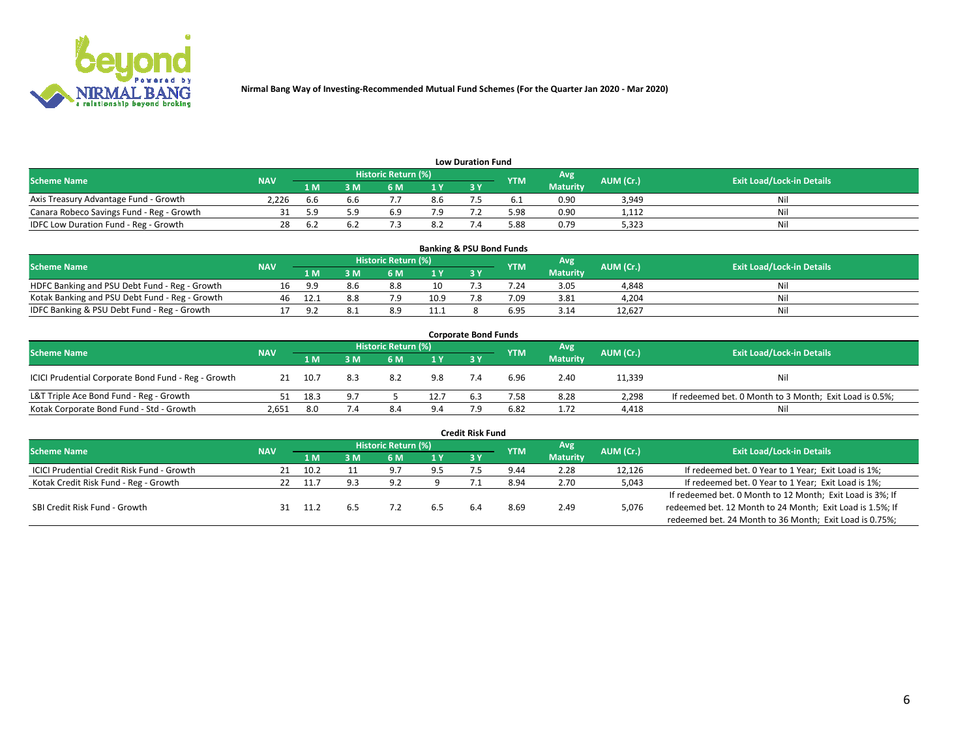

| <b>Low Duration Fund</b>                  |            |      |     |                     |                |           |            |                 |           |                                  |  |  |  |  |
|-------------------------------------------|------------|------|-----|---------------------|----------------|-----------|------------|-----------------|-----------|----------------------------------|--|--|--|--|
| <b>Scheme Name</b>                        | <b>NAV</b> |      |     | Historic Return (%) |                |           | <b>YTM</b> | Avg             | AUM (Cr.) | <b>Exit Load/Lock-in Details</b> |  |  |  |  |
|                                           |            | 1 M  | sм  | 6 M                 | 1 <sub>V</sub> | <b>3V</b> |            | <b>Maturity</b> |           |                                  |  |  |  |  |
| Axis Treasury Advantage Fund - Growth     | 2.226      | .b.b | b.b |                     | 8.6            |           |            | 0.90            | 3,949     | Nil                              |  |  |  |  |
| Canara Robeco Savings Fund - Reg - Growth |            |      | 59. | 6.9                 |                |           | 5.98       | 0.90            | 1,112     | Nil                              |  |  |  |  |
| IDFC Low Duration Fund - Reg - Growth     | 28         | 6.4  |     |                     | 8.2            |           | .88 د      | 0.79            | 5,323     | Nil                              |  |  |  |  |

| <b>Banking &amp; PSU Bond Funds</b>            |            |     |     |                            |      |           |            |                 |           |                                  |  |  |  |  |
|------------------------------------------------|------------|-----|-----|----------------------------|------|-----------|------------|-----------------|-----------|----------------------------------|--|--|--|--|
| <b>Scheme Name</b>                             | <b>NAV</b> |     |     | <b>Historic Return (%)</b> |      |           | <b>YTM</b> | Avg             | AUM (Cr.) | <b>Exit Load/Lock-in Details</b> |  |  |  |  |
|                                                |            | 1 M | sм  | 6 M                        |      | <b>3Y</b> |            | <b>Maturity</b> |           |                                  |  |  |  |  |
| HDFC Banking and PSU Debt Fund - Reg - Growth  |            | g q | 8.6 | 8.8                        | 10   |           | 7.24       | 3.05            | 4,848     | Ni                               |  |  |  |  |
| Kotak Banking and PSU Debt Fund - Reg - Growth | 46         |     |     | 70                         | 10.9 |           | 7.09       | 3.81            | 4,204     | Ni                               |  |  |  |  |
| IDFC Banking & PSU Debt Fund - Reg - Growth    |            | Q.  |     | 8.9                        | 11.1 |           | 6.95       | 3.14            | 12.627    | Ni                               |  |  |  |  |

| <b>Corporate Bond Funds</b>                         |            |      |     |                     |      |            |            |                 |           |                                                         |  |  |  |
|-----------------------------------------------------|------------|------|-----|---------------------|------|------------|------------|-----------------|-----------|---------------------------------------------------------|--|--|--|
| <b>Scheme Name</b>                                  | <b>NAV</b> |      |     | Historic Return (%) |      |            | <b>YTM</b> | Avg'            | AUM (Cr.) | <b>Exit Load/Lock-in Details</b>                        |  |  |  |
|                                                     |            | 1 M  | 3 M | 6 M                 | 1 Y  | <b>3 Y</b> |            | <b>Maturity</b> |           |                                                         |  |  |  |
| ICICI Prudential Corporate Bond Fund - Reg - Growth |            | 10.7 | 8.3 | 8.2                 | 9.8  |            | 6.96       | 2.40            | 11,339    | Nil                                                     |  |  |  |
| L&T Triple Ace Bond Fund - Reg - Growth             |            | 18.3 |     |                     | 12.7 | 6.3        | 7.58       | 8.28            | 2,298     | If redeemed bet. 0 Month to 3 Month; Exit Load is 0.5%; |  |  |  |
| Kotak Corporate Bond Fund - Std - Growth            | 2,651      | 8.0  | 7.4 | 8.4                 |      |            | 6.82       | 1.72            | 4,418     | Nil                                                     |  |  |  |

|                                                   |            |         |     |                            |     | <b>Credit Risk Fund</b> |            |                 |           |                                                           |
|---------------------------------------------------|------------|---------|-----|----------------------------|-----|-------------------------|------------|-----------------|-----------|-----------------------------------------------------------|
| <b>Scheme Name</b>                                | <b>NAV</b> |         |     | <b>Historic Return (%)</b> |     |                         | <b>YTM</b> | Avg             | AUM (Cr.) | <b>Exit Load/Lock-in Details</b>                          |
|                                                   |            | 1 M     | 3 M | 6 M                        | 1 Y | 3Y                      |            | <b>Maturity</b> |           |                                                           |
| <b>ICICI Prudential Credit Risk Fund - Growth</b> |            | 10.2    |     | 9.7                        | 9.5 |                         | 9.44       | 2.28            | 12,126    | If redeemed bet. 0 Year to 1 Year; Exit Load is 1%;       |
| Kotak Credit Risk Fund - Reg - Growth             |            | $-11.7$ | ۔ و | Ω.                         |     |                         | 8.94       | 2.70            | 5,043     | If redeemed bet. 0 Year to 1 Year; Exit Load is 1%;       |
|                                                   |            |         |     |                            |     |                         |            |                 |           | If redeemed bet. 0 Month to 12 Month; Exit Load is 3%; If |
| SBI Credit Risk Fund - Growth                     |            | 11.7    |     |                            |     |                         | 8.69       | 2.49            | 5,076     | redeemed bet. 12 Month to 24 Month; Exit Load is 1.5%; If |
|                                                   |            |         |     |                            |     |                         |            |                 |           | redeemed bet. 24 Month to 36 Month; Exit Load is 0.75%;   |